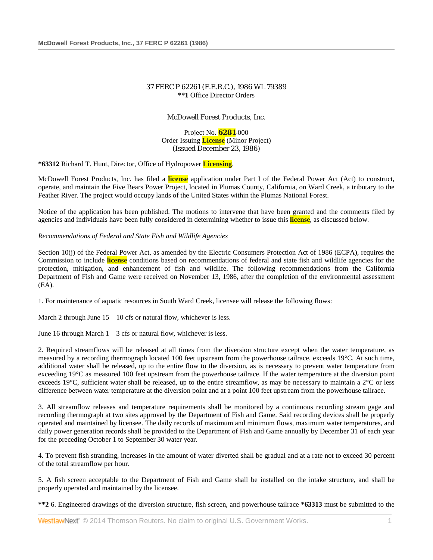# 37 FERC P 62261 (F.E.R.C.), 1986 WL 79389 **\*\*1** Office Director Orders

McDowell Forest Products, Inc.

Project No. **6281**-000 Order Issuing **License** (Minor Project) (Issued December 23, 1986)

**\*63312** Richard T. Hunt, Director, Office of Hydropower **Licensing**.

McDowell Forest Products, Inc. has filed a **license** application under Part I of the Federal Power Act (Act) to construct, operate, and maintain the Five Bears Power Project, located in Plumas County, California, on Ward Creek, a tributary to the Feather River. The project would occupy lands of the United States within the Plumas National Forest.

Notice of the application has been published. The motions to intervene that have been granted and the comments filed by agencies and individuals have been fully considered in determining whether to issue this **license**, as discussed below.

*Recommendations of Federal and State Fish and Wildlife Agencies*

Section 10(j) of the Federal Power Act, as amended by the Electric Consumers Protection Act of 1986 (ECPA), requires the Commission to include **license** conditions based on recommendations of federal and state fish and wildlife agencies for the protection, mitigation, and enhancement of fish and wildlife. The following recommendations from the California Department of Fish and Game were received on November 13, 1986, after the completion of the environmental assessment (EA).

1. For maintenance of aquatic resources in South Ward Creek, licensee will release the following flows:

March 2 through June 15—10 cfs or natural flow, whichever is less.

June 16 through March 1—3 cfs or natural flow, whichever is less.

2. Required streamflows will be released at all times from the diversion structure except when the water temperature, as measured by a recording thermograph located 100 feet upstream from the powerhouse tailrace, exceeds 19°C. At such time, additional water shall be released, up to the entire flow to the diversion, as is necessary to prevent water temperature from exceeding 19°C as measured 100 feet upstream from the powerhouse tailrace. If the water temperature at the diversion point exceeds 19°C, sufficient water shall be released, up to the entire streamflow, as may be necessary to maintain a 2°C or less difference between water temperature at the diversion point and at a point 100 feet upstream from the powerhouse tailrace.

3. All streamflow releases and temperature requirements shall be monitored by a continuous recording stream gage and recording thermograph at two sites approved by the Department of Fish and Game. Said recording devices shall be properly operated and maintained by licensee. The daily records of maximum and minimum flows, maximum water temperatures, and daily power generation records shall be provided to the Department of Fish and Game annually by December 31 of each year for the preceding October 1 to September 30 water year.

4. To prevent fish stranding, increases in the amount of water diverted shall be gradual and at a rate not to exceed 30 percent of the total streamflow per hour.

5. A fish screen acceptable to the Department of Fish and Game shall be installed on the intake structure, and shall be properly operated and maintained by the licensee.

**\*\*2** 6. Engineered drawings of the diversion structure, fish screen, and powerhouse tailrace **\*63313** must be submitted to the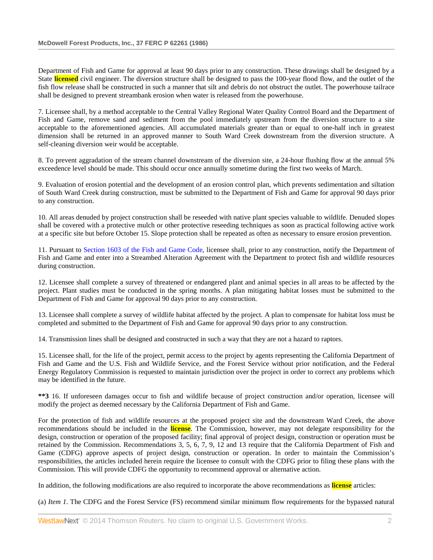Department of Fish and Game for approval at least 90 days prior to any construction. These drawings shall be designed by a State **licensed** civil engineer. The diversion structure shall be designed to pass the 100-year flood flow, and the outlet of the fish flow release shall be constructed in such a manner that silt and debris do not obstruct the outlet. The powerhouse tailrace shall be designed to prevent streambank erosion when water is released from the powerhouse.

7. Licensee shall, by a method acceptable to the Central Valley Regional Water Quality Control Board and the Department of Fish and Game, remove sand and sediment from the pool immediately upstream from the diversion structure to a site acceptable to the aforementioned agencies. All accumulated materials greater than or equal to one-half inch in greatest dimension shall be returned in an approved manner to South Ward Creek downstream from the diversion structure. A self-cleaning diversion weir would be acceptable.

8. To prevent aggradation of the stream channel downstream of the diversion site, a 24-hour flushing flow at the annual 5% exceedence level should be made. This should occur once annually sometime during the first two weeks of March.

9. Evaluation of erosion potential and the development of an erosion control plan, which prevents sedimentation and siltation of South Ward Creek during construction, must be submitted to the Department of Fish and Game for approval 90 days prior to any construction.

10. All areas denuded by project construction shall be reseeded with native plant species valuable to wildlife. Denuded slopes shall be covered with a protective mulch or other protective reseeding techniques as soon as practical following active work at a specific site but before October 15. Slope protection shall be repeated as often as necessary to ensure erosion prevention.

11. Pursuant to [Section 1603 of the Fish and Game Code,](http://www.westlaw.com/Link/Document/FullText?findType=L&pubNum=1000209&cite=CAFGS1603&originatingDoc=Ib2775c75395211dbbb4d83d7c3c3a165&refType=LQ&originationContext=document&vr=3.0&rs=cblt1.0&transitionType=DocumentItem&contextData=(sc.Search)) licensee shall, prior to any construction, notify the Department of Fish and Game and enter into a Streambed Alteration Agreement with the Department to protect fish and wildlife resources during construction.

12. Licensee shall complete a survey of threatened or endangered plant and animal species in all areas to be affected by the project. Plant studies must be conducted in the spring months. A plan mitigating habitat losses must be submitted to the Department of Fish and Game for approval 90 days prior to any construction.

13. Licensee shall complete a survey of wildlife habitat affected by the project. A plan to compensate for habitat loss must be completed and submitted to the Department of Fish and Game for approval 90 days prior to any construction.

14. Transmission lines shall be designed and constructed in such a way that they are not a hazard to raptors.

15. Licensee shall, for the life of the project, permit access to the project by agents representing the California Department of Fish and Game and the U.S. Fish and Wildlife Service, and the Forest Service without prior notification, and the Federal Energy Regulatory Commission is requested to maintain jurisdiction over the project in order to correct any problems which may be identified in the future.

**\*\*3** 16. If unforeseen damages occur to fish and wildlife because of project construction and/or operation, licensee will modify the project as deemed necessary by the California Department of Fish and Game.

For the protection of fish and wildlife resources at the proposed project site and the downstream Ward Creek, the above recommendations should be included in the **license**. The Commission, however, may not delegate responsibility for the design, construction or operation of the proposed facility; final approval of project design, construction or operation must be retained by the Commission. Recommendations 3, 5, 6, 7, 9, 12 and 13 require that the California Department of Fish and Game (CDFG) approve aspects of project design, construction or operation. In order to maintain the Commission's responsibilities, the articles included herein require the licensee to consult with the CDFG prior to filing these plans with the Commission. This will provide CDFG the opportunity to recommend approval or alternative action.

In addition, the following modifications are also required to incorporate the above recommendations as **license** articles:

(a) *Item 1*. The CDFG and the Forest Service (FS) recommend similar minimum flow requirements for the bypassed natural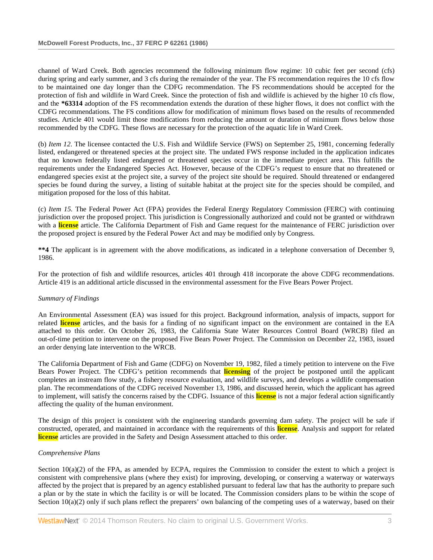channel of Ward Creek. Both agencies recommend the following minimum flow regime: 10 cubic feet per second (cfs) during spring and early summer, and 3 cfs during the remainder of the year. The FS recommendation requires the 10 cfs flow to be maintained one day longer than the CDFG recommendation. The FS recommendations should be accepted for the protection of fish and wildlife in Ward Creek. Since the protection of fish and wildlife is achieved by the higher 10 cfs flow, and the **\*63314** adoption of the FS recommendation extends the duration of these higher flows, it does not conflict with the CDFG recommendations. The FS conditions allow for modification of minimum flows based on the results of recommended studies. Article 401 would limit those modifications from reducing the amount or duration of minimum flows below those recommended by the CDFG. These flows are necessary for the protection of the aquatic life in Ward Creek.

(b) *Item 12*. The licensee contacted the U.S. Fish and Wildlife Service (FWS) on September 25, 1981, concerning federally listed, endangered or threatened species at the project site. The undated FWS response included in the application indicates that no known federally listed endangered or threatened species occur in the immediate project area. This fulfills the requirements under the Endangered Species Act. However, because of the CDFG's request to ensure that no threatened or endangered species exist at the project site, a survey of the project site should be required. Should threatened or endangered species be found during the survey, a listing of suitable habitat at the project site for the species should be compiled, and mitigation proposed for the loss of this habitat.

(c) *Item 15.* The Federal Power Act (FPA) provides the Federal Energy Regulatory Commission (FERC) with continuing jurisdiction over the proposed project. This jurisdiction is Congressionally authorized and could not be granted or withdrawn with a **license** article. The California Department of Fish and Game request for the maintenance of FERC jurisdiction over the proposed project is ensured by the Federal Power Act and may be modified only by Congress.

**\*\*4** The applicant is in agreement with the above modifications, as indicated in a telephone conversation of December 9, 1986.

For the protection of fish and wildlife resources, articles 401 through 418 incorporate the above CDFG recommendations. Article 419 is an additional article discussed in the environmental assessment for the Five Bears Power Project.

## *Summary of Findings*

An Environmental Assessment (EA) was issued for this project. Background information, analysis of impacts, support for related **license** articles, and the basis for a finding of no significant impact on the environment are contained in the EA attached to this order. On October 26, 1983, the California State Water Resources Control Board (WRCB) filed an out-of-time petition to intervene on the proposed Five Bears Power Project. The Commission on December 22, 1983, issued an order denying late intervention to the WRCB.

The California Department of Fish and Game (CDFG) on November 19, 1982, filed a timely petition to intervene on the Five Bears Power Project. The CDFG's petition recommends that **licensing** of the project be postponed until the applicant completes an instream flow study, a fishery resource evaluation, and wildlife surveys, and develops a wildlife compensation plan. The recommendations of the CDFG received November 13, 1986, and discussed herein, which the applicant has agreed to implement, will satisfy the concerns raised by the CDFG. Issuance of this **license** is not a major federal action significantly affecting the quality of the human environment.

The design of this project is consistent with the engineering standards governing dam safety. The project will be safe if constructed, operated, and maintained in accordance with the requirements of this **license**. Analysis and support for related **license** articles are provided in the Safety and Design Assessment attached to this order.

### *Comprehensive Plans*

Section  $10(a)(2)$  of the FPA, as amended by ECPA, requires the Commission to consider the extent to which a project is consistent with comprehensive plans (where they exist) for improving, developing, or conserving a waterway or waterways affected by the project that is prepared by an agency established pursuant to federal law that has the authority to prepare such a plan or by the state in which the facility is or will be located. The Commission considers plans to be within the scope of Section  $10(a)(2)$  only if such plans reflect the preparers' own balancing of the competing uses of a waterway, based on their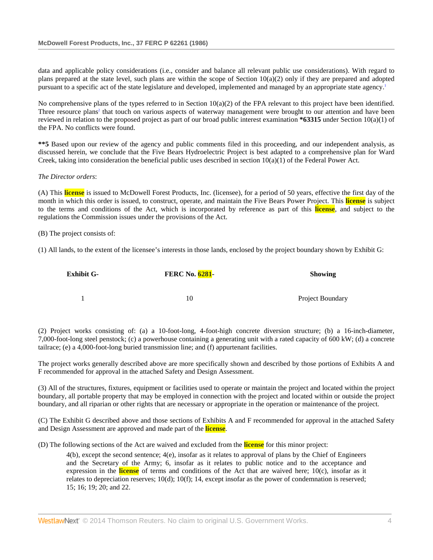data and applicable policy considerations (i.e., consider and balance all relevant public use considerations). With regard to plans prepared at the state level, such plans are within the scope of Section  $10(a)(2)$  only if they are prepared and adopted pursuant to a specific act of the state legislature and developed, implemented and managed by an appropriate state agency.1

No comprehensive plans of the types referred to in Section 10(a)(2) of the FPA relevant to this project have been identified. Three resource plans<sup>2</sup> that touch on various aspects of waterway management were brought to our attention and have been reviewed in relation to the proposed project as part of our broad public interest examination **\*63315** under Section 10(a)(1) of the FPA. No conflicts were found.

**\*\*5** Based upon our review of the agency and public comments filed in this proceeding, and our independent analysis, as discussed herein, we conclude that the Five Bears Hydroelectric Project is best adapted to a comprehensive plan for Ward Creek, taking into consideration the beneficial public uses described in section  $10(a)(1)$  of the Federal Power Act.

### *The Director orders*:

(A) This **license** is issued to McDowell Forest Products, Inc. (licensee), for a period of 50 years, effective the first day of the month in which this order is issued, to construct, operate, and maintain the Five Bears Power Project. This **license** is subject to the terms and conditions of the Act, which is incorporated by reference as part of this **license**, and subject to the regulations the Commission issues under the provisions of the Act.

### (B) The project consists of:

(1) All lands, to the extent of the licensee's interests in those lands, enclosed by the project boundary shown by Exhibit G:

| <b>Exhibit G-</b> | <b>FERC No. 6281-</b> | <b>Showing</b>   |
|-------------------|-----------------------|------------------|
|                   |                       |                  |
|                   | 10                    | Project Boundary |

(2) Project works consisting of: (a) a 10-foot-long, 4-foot-high concrete diversion structure; (b) a 16-inch-diameter, 7,000-foot-long steel penstock; (c) a powerhouse containing a generating unit with a rated capacity of 600 kW; (d) a concrete tailrace; (e) a 4,000-foot-long buried transmission line; and (f) appurtenant facilities.

The project works generally described above are more specifically shown and described by those portions of Exhibits A and F recommended for approval in the attached Safety and Design Assessment.

(3) All of the structures, fixtures, equipment or facilities used to operate or maintain the project and located within the project boundary, all portable property that may be employed in connection with the project and located within or outside the project boundary, and all riparian or other rights that are necessary or appropriate in the operation or maintenance of the project.

(C) The Exhibit G described above and those sections of Exhibits A and F recommended for approval in the attached Safety and Design Assessment are approved and made part of the **license**.

(D) The following sections of the Act are waived and excluded from the **license** for this minor project:

4(b), except the second sentence; 4(e), insofar as it relates to approval of plans by the Chief of Engineers and the Secretary of the Army; 6, insofar as it relates to public notice and to the acceptance and expression in the **license** of terms and conditions of the Act that are waived here; 10(c), insofar as it relates to depreciation reserves; 10(d); 10(f); 14, except insofar as the power of condemnation is reserved; 15; 16; 19; 20; and 22.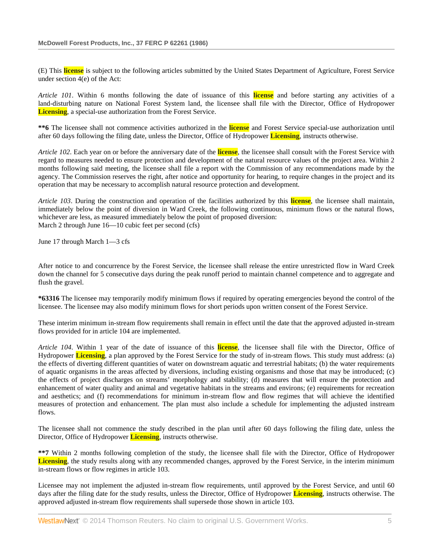(E) This **license** is subject to the following articles submitted by the United States Department of Agriculture, Forest Service under section 4(e) of the Act:

*Article 101*. Within 6 months following the date of issuance of this **license** and before starting any activities of a land-disturbing nature on National Forest System land, the licensee shall file with the Director, Office of Hydropower **Licensing**, a special-use authorization from the Forest Service.

**\*\*6** The licensee shall not commence activities authorized in the **license** and Forest Service special-use authorization until after 60 days following the filing date, unless the Director, Office of Hydropower **Licensing**, instructs otherwise.

*Article 102*. Each year on or before the anniversary date of the **license**, the licensee shall consult with the Forest Service with regard to measures needed to ensure protection and development of the natural resource values of the project area. Within 2 months following said meeting, the licensee shall file a report with the Commission of any recommendations made by the agency. The Commission reserves the right, after notice and opportunity for hearing, to require changes in the project and its operation that may be necessary to accomplish natural resource protection and development.

*Article 103*. During the construction and operation of the facilities authorized by this **license**, the licensee shall maintain, immediately below the point of diversion in Ward Creek, the following continuous, minimum flows or the natural flows, whichever are less, as measured immediately below the point of proposed diversion: March 2 through June 16—10 cubic feet per second (cfs)

June 17 through March 1—3 cfs

After notice to and concurrence by the Forest Service, the licensee shall release the entire unrestricted flow in Ward Creek down the channel for 5 consecutive days during the peak runoff period to maintain channel competence and to aggregate and flush the gravel.

**\*63316** The licensee may temporarily modify minimum flows if required by operating emergencies beyond the control of the licensee. The licensee may also modify minimum flows for short periods upon written consent of the Forest Service.

These interim minimum in-stream flow requirements shall remain in effect until the date that the approved adjusted in-stream flows provided for in article 104 are implemented.

*Article 104*. Within 1 year of the date of issuance of this **license**, the licensee shall file with the Director, Office of Hydropower **Licensing**, a plan approved by the Forest Service for the study of in-stream flows. This study must address: (a) the effects of diverting different quantities of water on downstream aquatic and terrestrial habitats; (b) the water requirements of aquatic organisms in the areas affected by diversions, including existing organisms and those that may be introduced; (c) the effects of project discharges on streams' morphology and stability; (d) measures that will ensure the protection and enhancement of water quality and animal and vegetative habitats in the streams and environs; (e) requirements for recreation and aesthetics; and (f) recommendations for minimum in-stream flow and flow regimes that will achieve the identified measures of protection and enhancement. The plan must also include a schedule for implementing the adjusted instream flows.

The licensee shall not commence the study described in the plan until after 60 days following the filing date, unless the Director, Office of Hydropower **Licensing**, instructs otherwise.

**\*\*7** Within 2 months following completion of the study, the licensee shall file with the Director, Office of Hydropower **Licensing**, the study results along with any recommended changes, approved by the Forest Service, in the interim minimum in-stream flows or flow regimes in article 103.

Licensee may not implement the adjusted in-stream flow requirements, until approved by the Forest Service, and until 60 days after the filing date for the study results, unless the Director, Office of Hydropower **Licensing**, instructs otherwise. The approved adjusted in-stream flow requirements shall supersede those shown in article 103.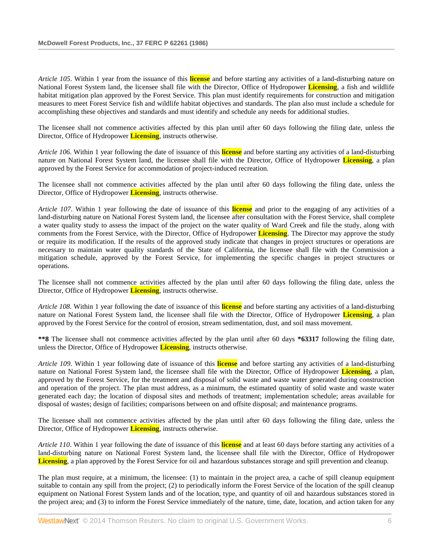*Article 105*. Within 1 year from the issuance of this **license** and before starting any activities of a land-disturbing nature on National Forest System land, the licensee shall file with the Director, Office of Hydropower **Licensing**, a fish and wildlife habitat mitigation plan approved by the Forest Service. This plan must identify requirements for construction and mitigation measures to meet Forest Service fish and wildlife habitat objectives and standards. The plan also must include a schedule for accomplishing these objectives and standards and must identify and schedule any needs for additional studies.

The licensee shall not commence activities affected by this plan until after 60 days following the filing date, unless the Director, Office of Hydropower **Licensing**, instructs otherwise.

*Article 106*. Within 1 year following the date of issuance of this **license** and before starting any activities of a land-disturbing nature on National Forest System land, the licensee shall file with the Director, Office of Hydropower **Licensing**, a plan approved by the Forest Service for accommodation of project-induced recreation.

The licensee shall not commence activities affected by the plan until after 60 days following the filing date, unless the Director, Office of Hydropower **Licensing**, instructs otherwise.

*Article 107*. Within 1 year following the date of issuance of this **license** and prior to the engaging of any activities of a land-disturbing nature on National Forest System land, the licensee after consultation with the Forest Service, shall complete a water quality study to assess the impact of the project on the water quality of Ward Creek and file the study, along with comments from the Forest Service, with the Director, Office of Hydropower **Licensing**. The Director may approve the study or require its modification. If the results of the approved study indicate that changes in project structures or operations are necessary to maintain water quality standards of the State of California, the licensee shall file with the Commission a mitigation schedule, approved by the Forest Service, for implementing the specific changes in project structures or operations.

The licensee shall not commence activities affected by the plan until after 60 days following the filing date, unless the Director, Office of Hydropower **Licensing**, instructs otherwise.

*Article 108*. Within 1 year following the date of issuance of this **license** and before starting any activities of a land-disturbing nature on National Forest System land, the licensee shall file with the Director, Office of Hydropower **Licensing**, a plan approved by the Forest Service for the control of erosion, stream sedimentation, dust, and soil mass movement.

**\*\*8** The licensee shall not commence activities affected by the plan until after 60 days **\*63317** following the filing date, unless the Director, Office of Hydropower **Licensing**, instructs otherwise.

*Article 109*. Within 1 year following date of issuance of this **license** and before starting any activities of a land-disturbing nature on National Forest System land, the licensee shall file with the Director, Office of Hydropower **Licensing**, a plan, approved by the Forest Service, for the treatment and disposal of solid waste and waste water generated during construction and operation of the project. The plan must address, as a minimum, the estimated quantity of solid waste and waste water generated each day; the location of disposal sites and methods of treatment; implementation schedule; areas available for disposal of wastes; design of facilities; comparisons between on and offsite disposal; and maintenance programs.

The licensee shall not commence activities affected by the plan until after 60 days following the filing date, unless the Director, Office of Hydropower **Licensing**, instructs otherwise.

*Article 110*. Within 1 year following the date of issuance of this **license** and at least 60 days before starting any activities of a land-disturbing nature on National Forest System land, the licensee shall file with the Director, Office of Hydropower **Licensing**, a plan approved by the Forest Service for oil and hazardous substances storage and spill prevention and cleanup.

The plan must require, at a minimum, the licensee: (1) to maintain in the project area, a cache of spill cleanup equipment suitable to contain any spill from the project; (2) to periodically inform the Forest Service of the location of the spill cleanup equipment on National Forest System lands and of the location, type, and quantity of oil and hazardous substances stored in the project area; and (3) to inform the Forest Service immediately of the nature, time, date, location, and action taken for any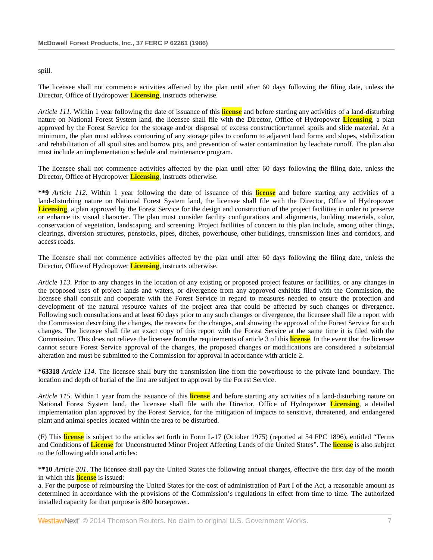### spill.

The licensee shall not commence activities affected by the plan until after 60 days following the filing date, unless the Director, Office of Hydropower **Licensing**, instructs otherwise.

*Article 111*. Within 1 year following the date of issuance of this **license** and before starting any activities of a land-disturbing nature on National Forest System land, the licensee shall file with the Director, Office of Hydropower **Licensing**, a plan approved by the Forest Service for the storage and/or disposal of excess construction/tunnel spoils and slide material. At a minimum, the plan must address contouring of any storage piles to conform to adjacent land forms and slopes, stabilization and rehabilitation of all spoil sites and borrow pits, and prevention of water contamination by leachate runoff. The plan also must include an implementation schedule and maintenance program.

The licensee shall not commence activities affected by the plan until after 60 days following the filing date, unless the Director, Office of Hydropower **Licensing**, instructs otherwise.

**\*\*9** *Article 112*. Within 1 year following the date of issuance of this **license** and before starting any activities of a land-disturbing nature on National Forest System land, the licensee shall file with the Director, Office of Hydropower **Licensing**, a plan approved by the Forest Service for the design and construction of the project facilities in order to preserve or enhance its visual character. The plan must consider facility configurations and alignments, building materials, color, conservation of vegetation, landscaping, and screening. Project facilities of concern to this plan include, among other things, clearings, diversion structures, penstocks, pipes, ditches, powerhouse, other buildings, transmission lines and corridors, and access roads.

The licensee shall not commence activities affected by the plan until after 60 days following the filing date, unless the Director, Office of Hydropower **Licensing**, instructs otherwise.

*Article 113*. Prior to any changes in the location of any existing or proposed project features or facilities, or any changes in the proposed uses of project lands and waters, or divergence from any approved exhibits filed with the Commission, the licensee shall consult and cooperate with the Forest Service in regard to measures needed to ensure the protection and development of the natural resource values of the project area that could be affected by such changes or divergence. Following such consultations and at least 60 days prior to any such changes or divergence, the licensee shall file a report with the Commission describing the changes, the reasons for the changes, and showing the approval of the Forest Service for such changes. The licensee shall file an exact copy of this report with the Forest Service at the same time it is filed with the Commission. This does not relieve the licensee from the requirements of article 3 of this **license**. In the event that the licensee cannot secure Forest Service approval of the changes, the proposed changes or modifications are considered a substantial alteration and must be submitted to the Commission for approval in accordance with article 2.

**\*63318** *Article 114*. The licensee shall bury the transmission line from the powerhouse to the private land boundary. The location and depth of burial of the line are subject to approval by the Forest Service.

*Article 115*. Within 1 year from the issuance of this **license** and before starting any activities of a land-disturbing nature on National Forest System land, the licensee shall file with the Director, Office of Hydropower **Licensing**, a detailed implementation plan approved by the Forest Service, for the mitigation of impacts to sensitive, threatened, and endangered plant and animal species located within the area to be disturbed.

(F) This **license** is subject to the articles set forth in Form L-17 (October 1975) (reported at 54 FPC 1896), entitled "Terms and Conditions of **License** for Unconstructed Minor Project Affecting Lands of the United States". The **license** is also subject to the following additional articles:

**\*\*10** *Article 201*. The licensee shall pay the United States the following annual charges, effective the first day of the month in which this **license** is issued:

a. For the purpose of reimbursing the United States for the cost of administration of Part I of the Act, a reasonable amount as determined in accordance with the provisions of the Commission's regulations in effect from time to time. The authorized installed capacity for that purpose is 800 horsepower.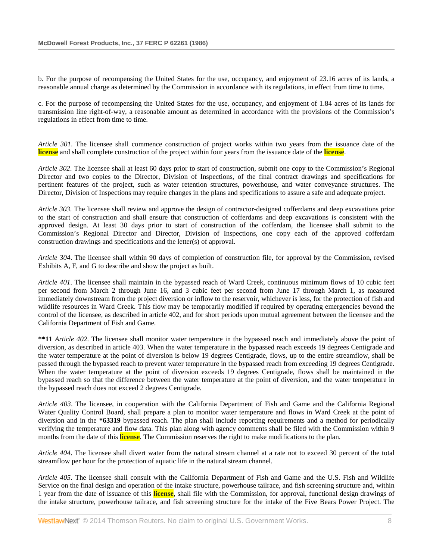b. For the purpose of recompensing the United States for the use, occupancy, and enjoyment of 23.16 acres of its lands, a reasonable annual charge as determined by the Commission in accordance with its regulations, in effect from time to time.

c. For the purpose of recompensing the United States for the use, occupancy, and enjoyment of 1.84 acres of its lands for transmission line right-of-way, a reasonable amount as determined in accordance with the provisions of the Commission's regulations in effect from time to time.

*Article 301*. The licensee shall commence construction of project works within two years from the issuance date of the **license** and shall complete construction of the project within four years from the issuance date of the **license**.

*Article 302*. The licensee shall at least 60 days prior to start of construction, submit one copy to the Commission's Regional Director and two copies to the Director, Division of Inspections, of the final contract drawings and specifications for pertinent features of the project, such as water retention structures, powerhouse, and water conveyance structures. The Director, Division of Inspections may require changes in the plans and specifications to assure a safe and adequate project.

*Article 303*. The licensee shall review and approve the design of contractor-designed cofferdams and deep excavations prior to the start of construction and shall ensure that construction of cofferdams and deep excavations is consistent with the approved design. At least 30 days prior to start of construction of the cofferdam, the licensee shall submit to the Commission's Regional Director and Director, Division of Inspections, one copy each of the approved cofferdam construction drawings and specifications and the letter(s) of approval.

*Article 304*. The licensee shall within 90 days of completion of construction file, for approval by the Commission, revised Exhibits A, F, and G to describe and show the project as built.

*Article 401*. The licensee shall maintain in the bypassed reach of Ward Creek, continuous minimum flows of 10 cubic feet per second from March 2 through June 16, and 3 cubic feet per second from June 17 through March 1, as measured immediately downstream from the project diversion or inflow to the reservoir, whichever is less, for the protection of fish and wildlife resources in Ward Creek. This flow may be temporarily modified if required by operating emergencies beyond the control of the licensee, as described in article 402, and for short periods upon mutual agreement between the licensee and the California Department of Fish and Game.

**\*\*11** *Article 402*. The licensee shall monitor water temperature in the bypassed reach and immediately above the point of diversion, as described in article 403. When the water temperature in the bypassed reach exceeds 19 degrees Centigrade and the water temperature at the point of diversion is below 19 degrees Centigrade, flows, up to the entire streamflow, shall be passed through the bypassed reach to prevent water temperature in the bypassed reach from exceeding 19 degrees Centigrade. When the water temperature at the point of diversion exceeds 19 degrees Centigrade, flows shall be maintained in the bypassed reach so that the difference between the water temperature at the point of diversion, and the water temperature in the bypassed reach does not exceed 2 degrees Centigrade.

*Article 403*. The licensee, in cooperation with the California Department of Fish and Game and the California Regional Water Quality Control Board, shall prepare a plan to monitor water temperature and flows in Ward Creek at the point of diversion and in the **\*63319** bypassed reach. The plan shall include reporting requirements and a method for periodically verifying the temperature and flow data. This plan along with agency comments shall be filed with the Commission within 9 months from the date of this **license**. The Commission reserves the right to make modifications to the plan.

*Article 404*. The licensee shall divert water from the natural stream channel at a rate not to exceed 30 percent of the total streamflow per hour for the protection of aquatic life in the natural stream channel.

*Article 405*. The licensee shall consult with the California Department of Fish and Game and the U.S. Fish and Wildlife Service on the final design and operation of the intake structure, powerhouse tailrace, and fish screening structure and, within 1 year from the date of issuance of this **license**, shall file with the Commission, for approval, functional design drawings of the intake structure, powerhouse tailrace, and fish screening structure for the intake of the Five Bears Power Project. The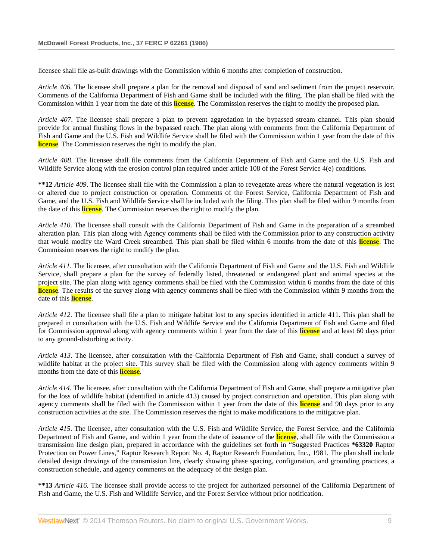licensee shall file as-built drawings with the Commission within 6 months after completion of construction.

*Article 406*. The licensee shall prepare a plan for the removal and disposal of sand and sediment from the project reservoir. Comments of the California Department of Fish and Game shall be included with the filing. The plan shall be filed with the Commission within 1 year from the date of this **license**. The Commission reserves the right to modify the proposed plan.

*Article 407*. The licensee shall prepare a plan to prevent aggredation in the bypassed stream channel. This plan should provide for annual flushing flows in the bypassed reach. The plan along with comments from the California Department of Fish and Game and the U.S. Fish and Wildlife Service shall be filed with the Commission within 1 year from the date of this **license**. The Commission reserves the right to modify the plan.

*Article 408*. The licensee shall file comments from the California Department of Fish and Game and the U.S. Fish and Wildlife Service along with the erosion control plan required under article 108 of the Forest Service 4(e) conditions.

**\*\*12** *Article 409*. The licensee shall file with the Commission a plan to revegetate areas where the natural vegetation is lost or altered due to project construction or operation. Comments of the Forest Service, California Department of Fish and Game, and the U.S. Fish and Wildlife Service shall be included with the filing. This plan shall be filed within 9 months from the date of this **license**. The Commission reserves the right to modify the plan.

*Article 410*. The licensee shall consult with the California Department of Fish and Game in the preparation of a streambed alteration plan. This plan along with Agency comments shall be filed with the Commission prior to any construction activity that would modify the Ward Creek streambed. This plan shall be filed within 6 months from the date of this **license**. The Commission reserves the right to modify the plan.

*Article 411*. The licensee, after consultation with the California Department of Fish and Game and the U.S. Fish and Wildlife Service, shall prepare a plan for the survey of federally listed, threatened or endangered plant and animal species at the project site. The plan along with agency comments shall be filed with the Commission within 6 months from the date of this **license**. The results of the survey along with agency comments shall be filed with the Commission within 9 months from the date of this **license**.

*Article 412*. The licensee shall file a plan to mitigate habitat lost to any species identified in article 411. This plan shall be prepared in consultation with the U.S. Fish and Wildlife Service and the California Department of Fish and Game and filed for Commission approval along with agency comments within 1 year from the date of this **license** and at least 60 days prior to any ground-disturbing activity.

*Article 413*. The licensee, after consultation with the California Department of Fish and Game, shall conduct a survey of wildlife habitat at the project site. This survey shall be filed with the Commission along with agency comments within 9 months from the date of this **license**.

*Article 414*. The licensee, after consultation with the California Department of Fish and Game, shall prepare a mitigative plan for the loss of wildlife habitat (identified in article 413) caused by project construction and operation. This plan along with agency comments shall be filed with the Commission within 1 year from the date of this **license** and 90 days prior to any construction activities at the site. The Commission reserves the right to make modifications to the mitigative plan.

*Article 415*. The licensee, after consultation with the U.S. Fish and Wildlife Service, the Forest Service, and the California Department of Fish and Game, and within 1 year from the date of issuance of the **license**, shall file with the Commission a transmission line design plan, prepared in accordance with the guidelines set forth in "Suggested Practices **\*63320** Raptor Protection on Power Lines," Raptor Research Report No. 4, Raptor Research Foundation, Inc., 1981. The plan shall include detailed design drawings of the transmission line, clearly showing phase spacing, configuration, and grounding practices, a construction schedule, and agency comments on the adequacy of the design plan.

**\*\*13** *Article 416.* The licensee shall provide access to the project for authorized personnel of the California Department of Fish and Game, the U.S. Fish and Wildlife Service, and the Forest Service without prior notification.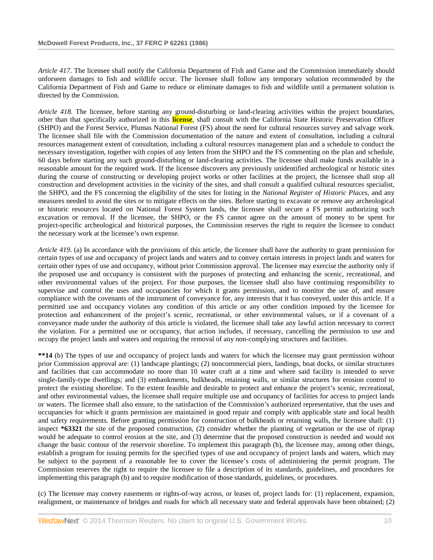*Article 417*. The licensee shall notify the California Department of Fish and Game and the Commission immediately should unforseen damages to fish and wildlife occur. The licensee shall follow any temporary solution recommended by the California Department of Fish and Game to reduce or eliminate damages to fish and wildlife until a permanent solution is directed by the Commission.

*Article 418.* The licensee, before starting any ground-disturbing or land-clearing activities within the project boundaries, other than that specifically authorized in this **license**, shall consult with the California State Historic Preservation Officer (SHPO) and the Forest Service, Plumas National Forest (FS) about the need for cultural resources survey and salvage work. The licensee shall file with the Commission documentation of the nature and extent of consultation, including a cultural resources management extent of consultation, including a cultural resources management plan and a schedule to conduct the necessary investigation, together with copies of any letters from the SHPO and the FS commenting on the plan and schedule, 60 days before starting any such ground-disturbing or land-clearing activities. The licensee shall make funds available in a reasonable amount for the required work. If the licensee discovers any previously unidentified archeological or historic sites during the course of constructing or developing project works or other facilities at the project, the licensee shall stop all construction and development activities in the vicinity of the sites, and shall consult a qualified cultural resources specialist, the SHPO, and the FS concerning the eligibility of the sites for listing in the *National Register of Historic Places,* and any measures needed to avoid the sites or to mitigate effects on the sites. Before starting to excavate or remove any archeological or historic resources located on National Forest System lands, the licensee shall secure a FS permit authorizing such excavation or removal. If the licensee, the SHPO, or the FS cannot agree on the amount of money to be spent for project-specific archeological and historical purposes, the Commission reserves the right to require the licensee to conduct the necessary work at the licensee's own expense.

*Article 419*. (a) In accordance with the provisions of this article, the licensee shall have the authority to grant permission for certain types of use and occupancy of project lands and waters and to convey certain interests in project lands and waters for certain other types of use and occupancy, without prior Commission approval. The licensee may exercise the authority only if the proposed use and occupancy is consistent with the purposes of protecting and enhancing the scenic, recreational, and other environmental values of the project. For those purposes, the licensee shall also have continuing responsibility to supervise and control the uses and occupancies for which it grants permission, and to monitor the use of, and ensure compliance with the covenants of the instrument of conveyance for, any interests that it has conveyed, under this article. If a permitted use and occupancy violates any condition of this article or any other condition imposed by the licensee for protection and enhancement of the project's scenic, recreational, or other environmental values, or if a covenant of a conveyance made under the authority of this article is violated, the licensee shall take any lawful action necessary to correct the violation. For a permitted use or occupancy, that action includes, if necessary, cancelling the permission to use and occupy the project lands and waters and requiring the removal of any non-complying structures and facilities.

**\*\*14** (b) The types of use and occupancy of project lands and waters for which the licensee may grant permission without prior Commission approval are: (1) landscape plantings; (2) noncommercial piers, landings, boat docks, or similar structures and facilities that can accommodate no more than 10 water craft at a time and where said facility is intended to serve single-family-type dwellings; and (3) embankments, bulkheads, retaining walls, or similar structures for erosion control to protect the existing shoreline. To the extent feasible and desirable to protect and enhance the project's scenic, recreational, and other environmental values, the licensee shall require multiple use and occupancy of facilities for access to project lands or waters. The licensee shall also ensure, to the satisfaction of the Commission's authorized representative, that the uses and occupancies for which it grants permission are maintained in good repair and comply with applicable state and local health and safety requirements. Before granting permission for construction of bulkheads or retaining walls, the licensee shall: (1) inspect **\*63321** the site of the proposed construction, (2) consider whether the planting of vegetation or the use of riprap would be adequate to control erosion at the site, and (3) determine that the proposed construction is needed and would not change the basic contour of the reservoir shoreline. To implement this paragraph (b), the licensee may, among other things, establish a program for issuing permits for the specified types of use and occupancy of project lands and waters, which may be subject to the payment of a reasonable fee to cover the licensee's costs of administering the permit program. The Commission reserves the right to require the licensee to file a description of its standards, guidelines, and procedures for implementing this paragraph (b) and to require modification of those standards, guidelines, or procedures.

(c) The licensee may convey easements or rights-of-way across, or leases of, project lands for: (1) replacement, expansion, realignment, or maintenance of bridges and roads for which all necessary state and federal approvals have been obtained; (2)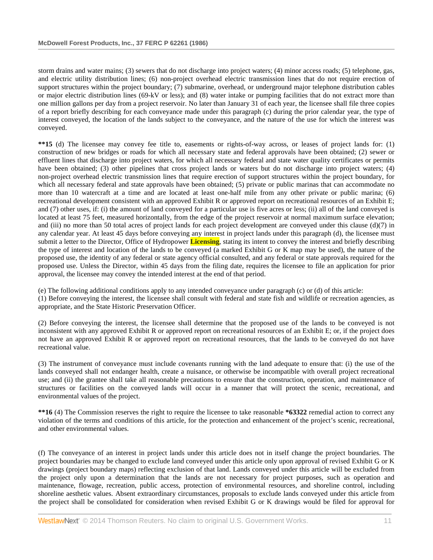storm drains and water mains; (3) sewers that do not discharge into project waters; (4) minor access roads; (5) telephone, gas, and electric utility distribution lines; (6) non-project overhead electric transmission lines that do not require erection of support structures within the project boundary; (7) submarine, overhead, or underground major telephone distribution cables or major electric distribution lines (69-kV or less); and (8) water intake or pumping facilities that do not extract more than one million gallons per day from a project reservoir. No later than January 31 of each year, the licensee shall file three copies of a report briefly describing for each conveyance made under this paragraph (c) during the prior calendar year, the type of interest conveyed, the location of the lands subject to the conveyance, and the nature of the use for which the interest was conveyed.

**\*\*15** (d) The licensee may convey fee title to, easements or rights-of-way across, or leases of project lands for: (1) construction of new bridges or roads for which all necessary state and federal approvals have been obtained; (2) sewer or effluent lines that discharge into project waters, for which all necessary federal and state water quality certificates or permits have been obtained; (3) other pipelines that cross project lands or waters but do not discharge into project waters; (4) non-project overhead electric transmission lines that require erection of support structures within the project boundary, for which all necessary federal and state approvals have been obtained; (5) private or public marinas that can accommodate no more than 10 watercraft at a time and are located at least one-half mile from any other private or public marina; (6) recreational development consistent with an approved Exhibit R or approved report on recreational resources of an Exhibit E; and (7) other uses, if: (i) the amount of land conveyed for a particular use is five acres or less; (ii) all of the land conveyed is located at least 75 feet, measured horizontally, from the edge of the project reservoir at normal maximum surface elevation; and (iii) no more than 50 total acres of project lands for each project development are conveyed under this clause  $(d)(7)$  in any calendar year. At least 45 days before conveying any interest in project lands under this paragraph (d), the licensee must submit a letter to the Director, Office of Hydropower **Licensing**, stating its intent to convey the interest and briefly describing the type of interest and location of the lands to be conveyed (a marked Exhibit G or K map may be used), the nature of the proposed use, the identity of any federal or state agency official consulted, and any federal or state approvals required for the proposed use. Unless the Director, within 45 days from the filing date, requires the licensee to file an application for prior approval, the licensee may convey the intended interest at the end of that period.

(e) The following additional conditions apply to any intended conveyance under paragraph (c) or (d) of this article:

(1) Before conveying the interest, the licensee shall consult with federal and state fish and wildlife or recreation agencies, as appropriate, and the State Historic Preservation Officer.

(2) Before conveying the interest, the licensee shall determine that the proposed use of the lands to be conveyed is not inconsistent with any approved Exhibit R or approved report on recreational resources of an Exhibit E; or, if the project does not have an approved Exhibit R or approved report on recreational resources, that the lands to be conveyed do not have recreational value.

(3) The instrument of conveyance must include covenants running with the land adequate to ensure that: (i) the use of the lands conveyed shall not endanger health, create a nuisance, or otherwise be incompatible with overall project recreational use; and (ii) the grantee shall take all reasonable precautions to ensure that the construction, operation, and maintenance of structures or facilities on the conveyed lands will occur in a manner that will protect the scenic, recreational, and environmental values of the project.

**\*\*16** (4) The Commission reserves the right to require the licensee to take reasonable **\*63322** remedial action to correct any violation of the terms and conditions of this article, for the protection and enhancement of the project's scenic, recreational, and other environmental values.

(f) The conveyance of an interest in project lands under this article does not in itself change the project boundaries. The project boundaries may be changed to exclude land conveyed under this article only upon approval of revised Exhibit G or K drawings (project boundary maps) reflecting exclusion of that land. Lands conveyed under this article will be excluded from the project only upon a determination that the lands are not necessary for project purposes, such as operation and maintenance, flowage, recreation, public access, protection of environmental resources, and shoreline control, including shoreline aesthetic values. Absent extraordinary circumstances, proposals to exclude lands conveyed under this article from the project shall be consolidated for consideration when revised Exhibit G or K drawings would be filed for approval for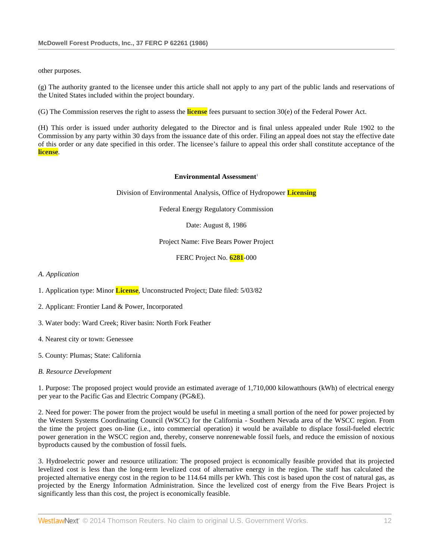other purposes.

(g) The authority granted to the licensee under this article shall not apply to any part of the public lands and reservations of the United States included within the project boundary.

(G) The Commission reserves the right to assess the **license** fees pursuant to section 30(e) of the Federal Power Act.

(H) This order is issued under authority delegated to the Director and is final unless appealed under Rule 1902 to the Commission by any party within 30 days from the issuance date of this order. Filing an appeal does not stay the effective date of this order or any date specified in this order. The licensee's failure to appeal this order shall constitute acceptance of the **license**.

#### **Environmental Assessment**<sup>1</sup>

Division of Environmental Analysis, Office of Hydropower **Licensing**

Federal Energy Regulatory Commission

Date: August 8, 1986

Project Name: Five Bears Power Project

FERC Project No. **6281**-000

*A. Application*

1. Application type: Minor **License**, Unconstructed Project; Date filed: 5/03/82

- 2. Applicant: Frontier Land & Power, Incorporated
- 3. Water body: Ward Creek; River basin: North Fork Feather
- 4. Nearest city or town: Genessee
- 5. County: Plumas; State: California
- *B. Resource Development*

1. Purpose: The proposed project would provide an estimated average of 1,710,000 kilowatthours (kWh) of electrical energy per year to the Pacific Gas and Electric Company (PG&E).

2. Need for power: The power from the project would be useful in meeting a small portion of the need for power projected by the Western Systems Coordinating Council (WSCC) for the California - Southern Nevada area of the WSCC region. From the time the project goes on-line (i.e., into commercial operation) it would be available to displace fossil-fueled electric power generation in the WSCC region and, thereby, conserve nonrenewable fossil fuels, and reduce the emission of noxious byproducts caused by the combustion of fossil fuels.

3. Hydroelectric power and resource utilization: The proposed project is economically feasible provided that its projected levelized cost is less than the long-term levelized cost of alternative energy in the region. The staff has calculated the projected alternative energy cost in the region to be 114.64 mills per kWh. This cost is based upon the cost of natural gas, as projected by the Energy Information Administration. Since the levelized cost of energy from the Five Bears Project is significantly less than this cost, the project is economically feasible.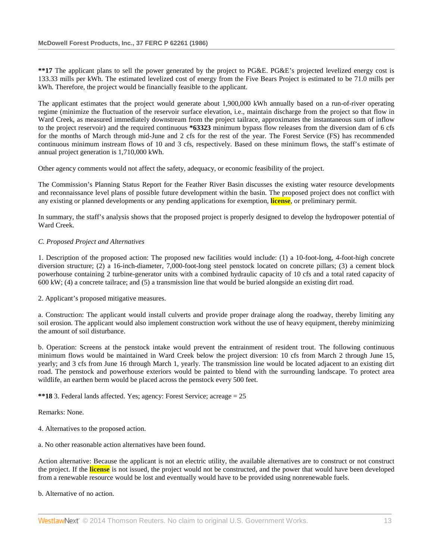**\*\*17** The applicant plans to sell the power generated by the project to PG&E. PG&E's projected levelized energy cost is 133.33 mills per kWh. The estimated levelized cost of energy from the Five Bears Project is estimated to be 71.0 mills per kWh. Therefore, the project would be financially feasible to the applicant.

The applicant estimates that the project would generate about 1,900,000 kWh annually based on a run-of-river operating regime (minimize the fluctuation of the reservoir surface elevation, i.e., maintain discharge from the project so that flow in Ward Creek, as measured immediately downstream from the project tailrace, approximates the instantaneous sum of inflow to the project reservoir) and the required continuous **\*63323** minimum bypass flow releases from the diversion dam of 6 cfs for the months of March through mid-June and 2 cfs for the rest of the year. The Forest Service (FS) has recommended continuous minimum instream flows of 10 and 3 cfs, respectively. Based on these minimum flows, the staff's estimate of annual project generation is 1,710,000 kWh.

Other agency comments would not affect the safety, adequacy, or economic feasibility of the project.

The Commission's Planning Status Report for the Feather River Basin discusses the existing water resource developments and reconnaissance level plans of possible future development within the basin. The proposed project does not conflict with any existing or planned developments or any pending applications for exemption, **license**, or preliminary permit.

In summary, the staff's analysis shows that the proposed project is properly designed to develop the hydropower potential of Ward Creek.

### *C. Proposed Project and Alternatives*

1. Description of the proposed action: The proposed new facilities would include: (1) a 10-foot-long, 4-foot-high concrete diversion structure; (2) a 16-inch-diameter, 7,000-foot-long steel penstock located on concrete pillars; (3) a cement block powerhouse containing 2 turbine-generator units with a combined hydraulic capacity of 10 cfs and a total rated capacity of 600 kW; (4) a concrete tailrace; and (5) a transmission line that would be buried alongside an existing dirt road.

2. Applicant's proposed mitigative measures.

a. Construction: The applicant would install culverts and provide proper drainage along the roadway, thereby limiting any soil erosion. The applicant would also implement construction work without the use of heavy equipment, thereby minimizing the amount of soil disturbance.

b. Operation: Screens at the penstock intake would prevent the entrainment of resident trout. The following continuous minimum flows would be maintained in Ward Creek below the project diversion: 10 cfs from March 2 through June 15, yearly; and 3 cfs from June 16 through March 1, yearly. The transmission line would be located adjacent to an existing dirt road. The penstock and powerhouse exteriors would be painted to blend with the surrounding landscape. To protect area wildlife, an earthen berm would be placed across the penstock every 500 feet.

**\*\*18** 3. Federal lands affected. Yes; agency: Forest Service; acreage = 25

Remarks: None.

4. Alternatives to the proposed action.

a. No other reasonable action alternatives have been found.

Action alternative: Because the applicant is not an electric utility, the available alternatives are to construct or not construct the project. If the **license** is not issued, the project would not be constructed, and the power that would have been developed from a renewable resource would be lost and eventually would have to be provided using nonrenewable fuels.

b. Alternative of no action.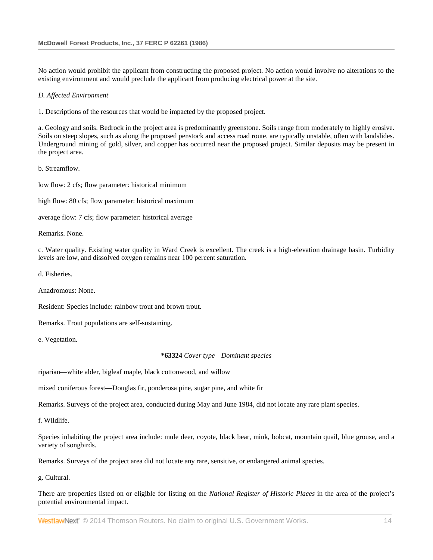No action would prohibit the applicant from constructing the proposed project. No action would involve no alterations to the existing environment and would preclude the applicant from producing electrical power at the site.

#### *D. Affected Environment*

1. Descriptions of the resources that would be impacted by the proposed project.

a. Geology and soils. Bedrock in the project area is predominantly greenstone. Soils range from moderately to highly erosive. Soils on steep slopes, such as along the proposed penstock and access road route, are typically unstable, often with landslides. Underground mining of gold, silver, and copper has occurred near the proposed project. Similar deposits may be present in the project area.

b. Streamflow.

low flow: 2 cfs; flow parameter: historical minimum

high flow: 80 cfs; flow parameter: historical maximum

average flow: 7 cfs; flow parameter: historical average

Remarks. None.

c. Water quality. Existing water quality in Ward Creek is excellent. The creek is a high-elevation drainage basin. Turbidity levels are low, and dissolved oxygen remains near 100 percent saturation.

d. Fisheries.

Anadromous: None.

Resident: Species include: rainbow trout and brown trout.

Remarks. Trout populations are self-sustaining.

e. Vegetation.

**\*63324** *Cover type—Dominant species*

riparian—white alder, bigleaf maple, black cottonwood, and willow

mixed coniferous forest—Douglas fir, ponderosa pine, sugar pine, and white fir

Remarks. Surveys of the project area, conducted during May and June 1984, did not locate any rare plant species.

f. Wildlife.

Species inhabiting the project area include: mule deer, coyote, black bear, mink, bobcat, mountain quail, blue grouse, and a variety of songbirds.

Remarks. Surveys of the project area did not locate any rare, sensitive, or endangered animal species.

g. Cultural.

There are properties listed on or eligible for listing on the *National Register of Historic Places* in the area of the project's potential environmental impact.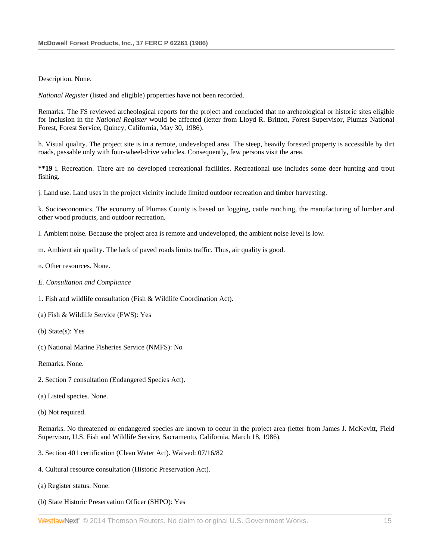Description. None.

*National Register* (listed and eligible) properties have not been recorded.

Remarks. The FS reviewed archeological reports for the project and concluded that no archeological or historic sites eligible for inclusion in the *National Register* would be affected (letter from Lloyd R. Britton, Forest Supervisor, Plumas National Forest, Forest Service, Quincy, California, May 30, 1986).

h. Visual quality. The project site is in a remote, undeveloped area. The steep, heavily forested property is accessible by dirt roads, passable only with four-wheel-drive vehicles. Consequently, few persons visit the area.

**\*\*19** i. Recreation. There are no developed recreational facilities. Recreational use includes some deer hunting and trout fishing.

j. Land use. Land uses in the project vicinity include limited outdoor recreation and timber harvesting.

k. Socioeconomics. The economy of Plumas County is based on logging, cattle ranching, the manufacturing of lumber and other wood products, and outdoor recreation.

l. Ambient noise. Because the project area is remote and undeveloped, the ambient noise level is low.

- m. Ambient air quality. The lack of paved roads limits traffic. Thus, air quality is good.
- n. Other resources. None.
- *E. Consultation and Compliance*
- 1. Fish and wildlife consultation (Fish & Wildlife Coordination Act).
- (a) Fish & Wildlife Service (FWS): Yes
- (b) State(s): Yes
- (c) National Marine Fisheries Service (NMFS): No

Remarks. None.

- 2. Section 7 consultation (Endangered Species Act).
- (a) Listed species. None.
- (b) Not required.

Remarks. No threatened or endangered species are known to occur in the project area (letter from James J. McKevitt, Field Supervisor, U.S. Fish and Wildlife Service, Sacramento, California, March 18, 1986).

- 3. Section 401 certification (Clean Water Act). Waived: 07/16/82
- 4. Cultural resource consultation (Historic Preservation Act).
- (a) Register status: None.
- (b) State Historic Preservation Officer (SHPO): Yes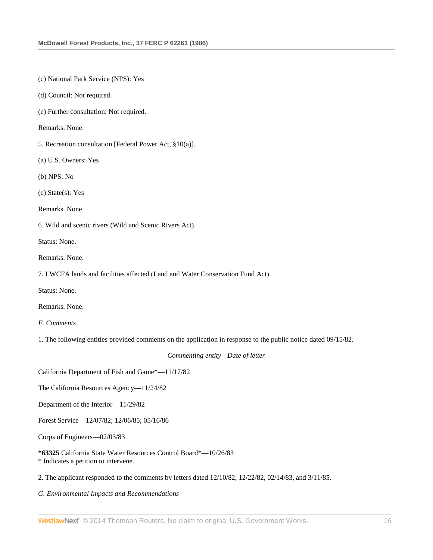(c) National Park Service (NPS): Yes

(d) Council: Not required.

(e) Further consultation: Not required.

Remarks. None.

5. Recreation consultation [Federal Power Act, §10(a)].

(a) U.S. Owners: Yes

(b) NPS: No

(c) State(s): Yes

Remarks. None.

6. Wild and scenic rivers (Wild and Scenic Rivers Act).

Status: None.

Remarks. None.

7. LWCFA lands and facilities affected (Land and Water Conservation Fund Act).

Status: None.

Remarks. None.

*F. Comments*

1. The following entities provided comments on the application in response to the public notice dated 09/15/82.

*Commenting entity—Date of letter*

California Department of Fish and Game\*—11/17/82

The California Resources Agency—11/24/82

Department of the Interior—11/29/82

Forest Service—12/07/82; 12/06/85; 05/16/86

Corps of Engineers—02/03/83

**\*63325** California State Water Resources Control Board\*—10/26/83 \* Indicates a petition to intervene.

2. The applicant responded to the comments by letters dated 12/10/82, 12/22/82, 02/14/83, and 3/11/85.

*G. Environmental Impacts and Recommendations*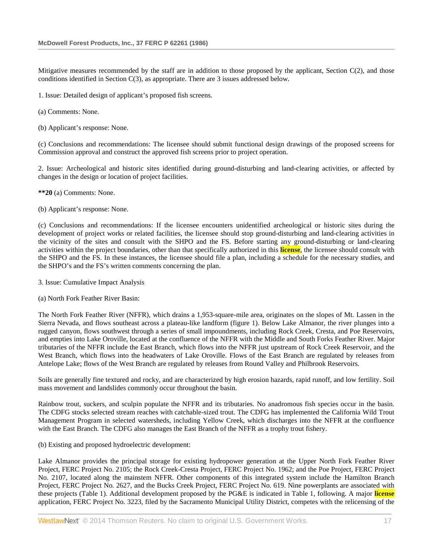Mitigative measures recommended by the staff are in addition to those proposed by the applicant, Section C(2), and those conditions identified in Section C(3), as appropriate. There are 3 issues addressed below.

1. Issue: Detailed design of applicant's proposed fish screens.

(a) Comments: None.

(b) Applicant's response: None.

(c) Conclusions and recommendations: The licensee should submit functional design drawings of the proposed screens for Commission approval and construct the approved fish screens prior to project operation.

2. Issue: Archeological and historic sites identified during ground-disturbing and land-clearing activities, or affected by changes in the design or location of project facilities.

**\*\*20** (a) Comments: None.

(b) Applicant's response: None.

(c) Conclusions and recommendations: If the licensee encounters unidentified archeological or historic sites during the development of project works or related facilities, the licensee should stop ground-disturbing and land-clearing activities in the vicinity of the sites and consult with the SHPO and the FS. Before starting any ground-disturbing or land-clearing activities within the project boundaries, other than that specifically authorized in this **license**, the licensee should consult with the SHPO and the FS. In these instances, the licensee should file a plan, including a schedule for the necessary studies, and the SHPO's and the FS's written comments concerning the plan.

3. Issue: Cumulative Impact Analysis

(a) North Fork Feather River Basin:

The North Fork Feather River (NFFR), which drains a 1,953-square-mile area, originates on the slopes of Mt. Lassen in the Sierra Nevada, and flows southeast across a plateau-like landform (figure 1). Below Lake Almanor, the river plunges into a rugged canyon, flows southwest through a series of small impoundments, including Rock Creek, Cresta, and Poe Reservoirs, and empties into Lake Oroville, located at the confluence of the NFFR with the Middle and South Forks Feather River. Major tributaries of the NFFR include the East Branch, which flows into the NFFR just upstream of Rock Creek Reservoir, and the West Branch, which flows into the headwaters of Lake Oroville. Flows of the East Branch are regulated by releases from Antelope Lake; flows of the West Branch are regulated by releases from Round Valley and Philbrook Reservoirs.

Soils are generally fine textured and rocky, and are characterized by high erosion hazards, rapid runoff, and low fertility. Soil mass movement and landslides commonly occur throughout the basin.

Rainbow trout, suckers, and sculpin populate the NFFR and its tributaries. No anadromous fish species occur in the basin. The CDFG stocks selected stream reaches with catchable-sized trout. The CDFG has implemented the California Wild Trout Management Program in selected watersheds, including Yellow Creek, which discharges into the NFFR at the confluence with the East Branch. The CDFG also manages the East Branch of the NFFR as a trophy trout fishery.

(b) Existing and proposed hydroelectric development:

Lake Almanor provides the principal storage for existing hydropower generation at the Upper North Fork Feather River Project, FERC Project No. 2105; the Rock Creek-Cresta Project, FERC Project No. 1962; and the Poe Project, FERC Project No. 2107, located along the mainstem NFFR. Other components of this integrated system include the Hamilton Branch Project, FERC Project No. 2627, and the Bucks Creek Project, FERC Project No. 619. Nine powerplants are associated with these projects (Table 1). Additional development proposed by the PG&E is indicated in Table 1, following. A major **license** application, FERC Project No. 3223, filed by the Sacramento Municipal Utility District, competes with the relicensing of the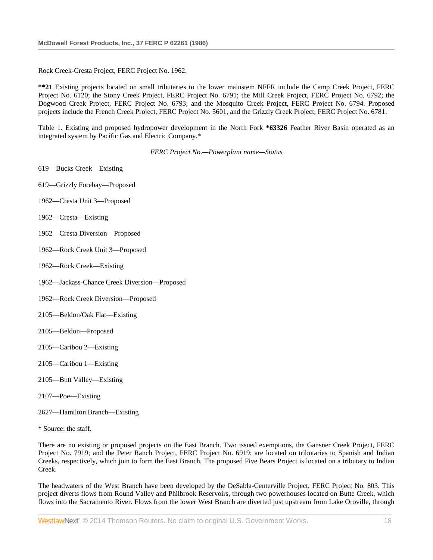Rock Creek-Cresta Project, FERC Project No. 1962.

**\*\*21** Existing projects located on small tributaries to the lower mainstem NFFR include the Camp Creek Project, FERC Project No. 6120; the Stony Creek Project, FERC Project No. 6791; the Mill Creek Project, FERC Project No. 6792; the Dogwood Creek Project, FERC Project No. 6793; and the Mosquito Creek Project, FERC Project No. 6794. Proposed projects include the French Creek Project, FERC Project No. 5601, and the Grizzly Creek Project, FERC Project No. 6781.

Table 1. Existing and proposed hydropower development in the North Fork **\*63326** Feather River Basin operated as an integrated system by Pacific Gas and Electric Company.\*

*FERC Project No.—Powerplant name—Status*

- 619—Bucks Creek—Existing
- 619—Grizzly Forebay—Proposed
- 1962—Cresta Unit 3—Proposed
- 1962—Cresta—Existing
- 1962—Cresta Diversion—Proposed
- 1962—Rock Creek Unit 3—Proposed
- 1962—Rock Creek—Existing
- 1962—Jackass-Chance Creek Diversion—Proposed
- 1962—Rock Creek Diversion—Proposed
- 2105—Beldon/Oak Flat—Existing
- 2105—Beldon—Proposed
- 2105—Caribou 2—Existing
- 2105—Caribou 1—Existing
- 2105—Butt Valley—Existing
- 2107—Poe—Existing
- 2627—Hamilton Branch—Existing
- \* Source: the staff.

There are no existing or proposed projects on the East Branch. Two issued exemptions, the Gansner Creek Project, FERC Project No. 7919; and the Peter Ranch Project, FERC Project No. 6919; are located on tributaries to Spanish and Indian Creeks, respectively, which join to form the East Branch. The proposed Five Bears Project is located on a tributary to Indian Creek.

The headwaters of the West Branch have been developed by the DeSabla-Centerville Project, FERC Project No. 803. This project diverts flows from Round Valley and Philbrook Reservoirs, through two powerhouses located on Butte Creek, which flows into the Sacramento River. Flows from the lower West Branch are diverted just upstream from Lake Oroville, through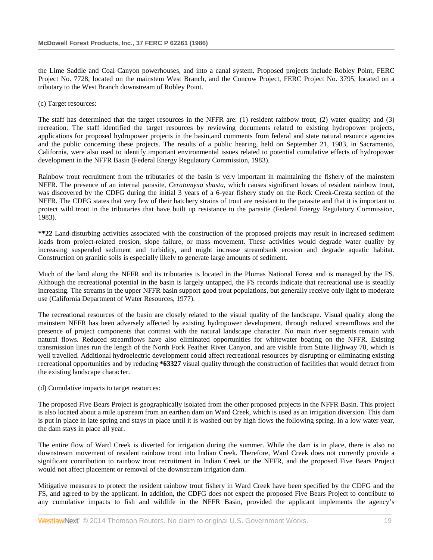the Lime Saddle and Coal Canyon powerhouses, and into a canal system. Proposed projects include Robley Point, FERC Project No. 7728, located on the mainstem West Branch, and the Concow Project, FERC Project No. 3795, located on a tributary to the West Branch downstream of Robley Point.

#### (c) Target resources:

The staff has determined that the target resources in the NFFR are: (1) resident rainbow trout; (2) water quality; and (3) recreation. The staff identified the target resources by reviewing documents related to existing hydropower projects, applications for proposed hydropower projects in the basin,and comments from federal and state natural resource agencies and the public concerning these projects. The results of a public hearing, held on September 21, 1983, in Sacramento, California, were also used to identify important environmental issues related to potential cumulative effects of hydropower development in the NFFR Basin (Federal Energy Regulatory Commission, 1983).

Rainbow trout recruitment from the tributaries of the basin is very important in maintaining the fishery of the mainstem NFFR. The presence of an internal parasite, *Ceratomyxa shasta*, which causes significant losses of resident rainbow trout, was discovered by the CDFG during the initial 3 years of a 6-year fishery study on the Rock Creek-Cresta section of the NFFR. The CDFG states that very few of their hatchery strains of trout are resistant to the parasite and that it is important to protect wild trout in the tributaries that have built up resistance to the parasite (Federal Energy Regulatory Commission, 1983).

**\*\*22** Land-disturbing activities associated with the construction of the proposed projects may result in increased sediment loads from project-related erosion, slope failure, or mass movement. These activities would degrade water quality by increasing suspended sediment and turbidity, and might increase streambank erosion and degrade aquatic habitat. Construction on granitic soils is especially likely to generate large amounts of sediment.

Much of the land along the NFFR and its tributaries is located in the Plumas National Forest and is managed by the FS. Although the recreational potential in the basin is largely untapped, the FS records indicate that recreational use is steadily increasing. The streams in the upper NFFR basin support good trout populations, but generally receive only light to moderate use (California Department of Water Resources, 1977).

The recreational resources of the basin are closely related to the visual quality of the landscape. Visual quality along the mainstem NFFR has been adversely affected by existing hydropower development, through reduced streamflows and the presence of project components that contrast with the natural landscape character. No main river segments remain with natural flows. Reduced streamflows have also eliminated opportunities for whitewater boating on the NFFR. Existing transmission lines run the length of the North Fork Feather River Canyon, and are visible from State Highway 70, which is well travelled. Additional hydroelectric development could affect recreational resources by disrupting or eliminating existing recreational opportunities and by reducing **\*63327** visual quality through the construction of facilities that would detract from the existing landscape character.

#### (d) Cumulative impacts to target resources:

The proposed Five Bears Project is geographically isolated from the other proposed projects in the NFFR Basin. This project is also located about a mile upstream from an earthen dam on Ward Creek, which is used as an irrigation diversion. This dam is put in place in late spring and stays in place until it is washed out by high flows the following spring. In a low water year, the dam stays in place all year.

The entire flow of Ward Creek is diverted for irrigation during the summer. While the dam is in place, there is also no downstream movement of resident rainbow trout into Indian Creek. Therefore, Ward Creek does not currently provide a significant contribution to rainbow trout recruitment in Indian Creek or the NFFR, and the proposed Five Bears Project would not affect placement or removal of the downstream irrigation dam.

Mitigative measures to protect the resident rainbow trout fishery in Ward Creek have been specified by the CDFG and the FS, and agreed to by the applicant. In addition, the CDFG does not expect the proposed Five Bears Project to contribute to any cumulative impacts to fish and wildlife in the NFFR Basin, provided the applicant implements the agency's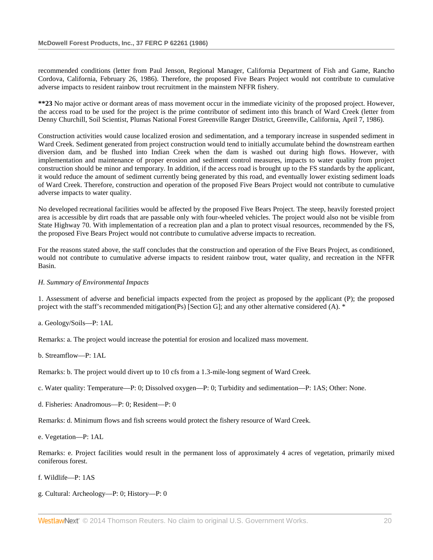recommended conditions (letter from Paul Jenson, Regional Manager, California Department of Fish and Game, Rancho Cordova, California, February 26, 1986). Therefore, the proposed Five Bears Project would not contribute to cumulative adverse impacts to resident rainbow trout recruitment in the mainstem NFFR fishery.

**\*\*23** No major active or dormant areas of mass movement occur in the immediate vicinity of the proposed project. However, the access road to be used for the project is the prime contributor of sediment into this branch of Ward Creek (letter from Denny Churchill, Soil Scientist, Plumas National Forest Greenville Ranger District, Greenville, California, April 7, 1986).

Construction activities would cause localized erosion and sedimentation, and a temporary increase in suspended sediment in Ward Creek. Sediment generated from project construction would tend to initially accumulate behind the downstream earthen diversion dam, and be flushed into Indian Creek when the dam is washed out during high flows. However, with implementation and maintenance of proper erosion and sediment control measures, impacts to water quality from project construction should be minor and temporary. In addition, if the access road is brought up to the FS standards by the applicant, it would reduce the amount of sediment currently being generated by this road, and eventually lower existing sediment loads of Ward Creek. Therefore, construction and operation of the proposed Five Bears Project would not contribute to cumulative adverse impacts to water quality.

No developed recreational facilities would be affected by the proposed Five Bears Project. The steep, heavily forested project area is accessible by dirt roads that are passable only with four-wheeled vehicles. The project would also not be visible from State Highway 70. With implementation of a recreation plan and a plan to protect visual resources, recommended by the FS, the proposed Five Bears Project would not contribute to cumulative adverse impacts to recreation.

For the reasons stated above, the staff concludes that the construction and operation of the Five Bears Project, as conditioned, would not contribute to cumulative adverse impacts to resident rainbow trout, water quality, and recreation in the NFFR Basin.

### *H. Summary of Environmental Impacts*

1. Assessment of adverse and beneficial impacts expected from the project as proposed by the applicant (P); the proposed project with the staff's recommended mitigation(Ps) [Section G]; and any other alternative considered (A). \*

a. Geology/Soils—P: 1AL

Remarks: a. The project would increase the potential for erosion and localized mass movement.

b. Streamflow—P: 1AL

Remarks: b. The project would divert up to 10 cfs from a 1.3-mile-long segment of Ward Creek.

c. Water quality: Temperature—P: 0; Dissolved oxygen—P: 0; Turbidity and sedimentation—P: 1AS; Other: None.

d. Fisheries: Anadromous—P: 0; Resident—P: 0

Remarks: d. Minimum flows and fish screens would protect the fishery resource of Ward Creek.

e. Vegetation—P: 1AL

Remarks: e. Project facilities would result in the permanent loss of approximately 4 acres of vegetation, primarily mixed coniferous forest.

f. Wildlife—P: 1AS

g. Cultural: Archeology—P: 0; History—P: 0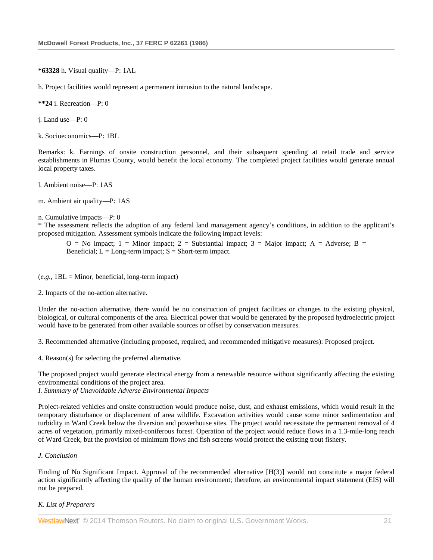**\*63328** h. Visual quality—P: 1AL

h. Project facilities would represent a permanent intrusion to the natural landscape.

**\*\*24** i. Recreation—P: 0

j. Land use—P: 0

k. Socioeconomics—P: 1BL

Remarks: k. Earnings of onsite construction personnel, and their subsequent spending at retail trade and service establishments in Plumas County, would benefit the local economy. The completed project facilities would generate annual local property taxes.

l. Ambient noise—P: 1AS

m. Ambient air quality—P: 1AS

n. Cumulative impacts—P: 0

\* The assessment reflects the adoption of any federal land management agency's conditions, in addition to the applicant's proposed mitigation. Assessment symbols indicate the following impact levels:

 $O = No$  impact; 1 = Minor impact; 2 = Substantial impact; 3 = Major impact; A = Adverse; B = Beneficial;  $L = Long-term impact$ ;  $S = Short-term impact$ .

(*e.g.,* 1BL = Minor, beneficial, long-term impact)

2. Impacts of the no-action alternative.

Under the no-action alternative, there would be no construction of project facilities or changes to the existing physical, biological, or cultural components of the area. Electrical power that would be generated by the proposed hydroelectric project would have to be generated from other available sources or offset by conservation measures.

3. Recommended alternative (including proposed, required, and recommended mitigative measures): Proposed project.

4. Reason(s) for selecting the preferred alternative.

The proposed project would generate electrical energy from a renewable resource without significantly affecting the existing environmental conditions of the project area.

*I. Summary of Unavoidable Adverse Environmental Impacts*

Project-related vehicles and onsite construction would produce noise, dust, and exhaust emissions, which would result in the temporary disturbance or displacement of area wildlife. Excavation activities would cause some minor sedimentation and turbidity in Ward Creek below the diversion and powerhouse sites. The project would necessitate the permanent removal of 4 acres of vegetation, primarily mixed-coniferous forest. Operation of the project would reduce flows in a 1.3-mile-long reach of Ward Creek, but the provision of minimum flows and fish screens would protect the existing trout fishery.

### *J. Conclusion*

Finding of No Significant Impact. Approval of the recommended alternative [H(3)] would not constitute a major federal action significantly affecting the quality of the human environment; therefore, an environmental impact statement (EIS) will not be prepared.

### *K. List of Preparers*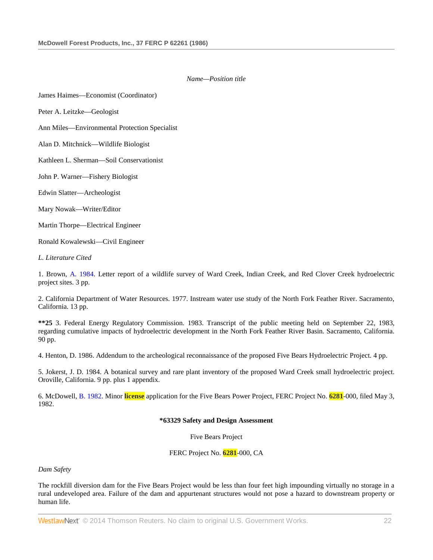## *Name—Position title*

James Haimes—Economist (Coordinator)

Peter A. Leitzke—Geologist

Ann Miles—Environmental Protection Specialist

Alan D. Mitchnick—Wildlife Biologist

Kathleen L. Sherman—Soil Conservationist

John P. Warner—Fishery Biologist

Edwin Slatter—Archeologist

Mary Nowak—Writer/Editor

Martin Thorpe—Electrical Engineer

Ronald Kowalewski—Civil Engineer

*L. Literature Cited*

1. Brown, [A. 1984.](http://www.westlaw.com/Link/Document/FullText?findType=Y&pubNum=5304&cite=CGOA1984&originationContext=document&vr=3.0&rs=cblt1.0&transitionType=DocumentItem&contextData=(sc.Search)) Letter report of a wildlife survey of Ward Creek, Indian Creek, and Red Clover Creek hydroelectric project sites. 3 pp.

2. California Department of Water Resources. 1977. Instream water use study of the North Fork Feather River. Sacramento, California. 13 pp.

**\*\*25** 3. Federal Energy Regulatory Commission. 1983. Transcript of the public meeting held on September 22, 1983, regarding cumulative impacts of hydroelectric development in the North Fork Feather River Basin. Sacramento, California. 90 pp.

4. Henton, D. 1986. Addendum to the archeological reconnaissance of the proposed Five Bears Hydroelectric Project. 4 pp.

5. Jokerst, J. D. 1984. A botanical survey and rare plant inventory of the proposed Ward Creek small hydroelectric project. Oroville, California. 9 pp. plus 1 appendix.

6. McDowell, [B. 1982.](http://www.westlaw.com/Link/Document/FullText?findType=Y&pubNum=5300&cite=CGOB1982&originationContext=document&vr=3.0&rs=cblt1.0&transitionType=DocumentItem&contextData=(sc.Search)) Minor **license** application for the Five Bears Power Project, FERC Project No. **6281**-000, filed May 3, 1982.

#### **\*63329 Safety and Design Assessment**

Five Bears Project

FERC Project No. **6281**-000, CA

*Dam Safety*

The rockfill diversion dam for the Five Bears Project would be less than four feet high impounding virtually no storage in a rural undeveloped area. Failure of the dam and appurtenant structures would not pose a hazard to downstream property or human life.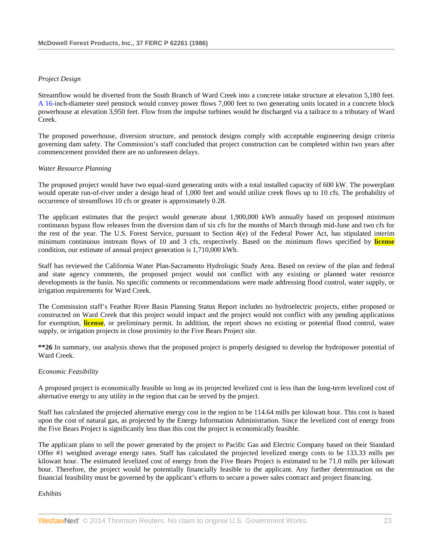### *Project Design*

Streamflow would be diverted from the South Branch of Ward Creek into a concrete intake structure at elevation 5,180 feet. [A 16-i](http://www.westlaw.com/Link/Document/FullText?findType=Y&pubNum=5304&cite=CGOA16&originationContext=document&vr=3.0&rs=cblt1.0&transitionType=DocumentItem&contextData=(sc.Search))nch-diameter steel penstock would convey power flows 7,000 feet to two generating units located in a concrete block powerhouse at elevation 3,950 feet. Flow from the impulse turbines would be discharged via a tailrace to a tributary of Ward Creek.

The proposed powerhouse, diversion structure, and penstock designs comply with acceptable engineering design criteria governing dam safety. The Commission's staff concluded that project construction can be completed within two years after commencement provided there are no unforeseen delays.

### *Water Resource Planning*

The proposed project would have two equal-sized generating units with a total installed capacity of 600 kW. The powerplant would operate run-of-river under a design head of 1,000 feet and would utilize creek flows up to 10 cfs. The probability of occurrence of streamflows 10 cfs or greater is approximately 0.28.

The applicant estimates that the project would generate about 1,900,000 kWh annually based on proposed minimum continuous bypass flow releases from the diversion dam of six cfs for the months of March through mid-June and two cfs for the rest of the year. The U.S. Forest Service, pursuant to Section 4(e) of the Federal Power Act, has stipulated interim minimum continuous instream flows of 10 and 3 cfs, respectively. Based on the minimum flows specified by **license** condition, our estimate of annual project generation is 1,710,000 kWh.

Staff has reviewed the California Water Plan-Sacramento Hydrologic Study Area. Based on review of the plan and federal and state agency comments, the proposed project would not conflict with any existing or planned water resource developments in the basin. No specific comments or recommendations were made addressing flood control, water supply, or irrigation requirements for Ward Creek.

The Commission staff's Feather River Basin Planning Status Report includes no hydroelectric projects, either proposed or constructed on Ward Creek that this project would impact and the project would not conflict with any pending applications for exemption, **license**, or preliminary permit. In addition, the report shows no existing or potential flood control, water supply, or irrigation projects in close proximity to the Five Bears Project site.

**\*\*26** In summary, our analysis shows that the proposed project is properly designed to develop the hydropower potential of Ward Creek.

## *Economic Feasibility*

A proposed project is economically feasible so long as its projected levelized cost is less than the long-term levelized cost of alternative energy to any utility in the region that can be served by the project.

Staff has calculated the projected alternative energy cost in the region to be 114.64 mills per kilowatt hour. This cost is based upon the cost of natural gas, as projected by the Energy Information Administration. Since the levelized cost of energy from the Five Bears Project is significantly less than this cost the project is economically feasible.

The applicant plans to sell the power generated by the project to Pacific Gas and Electric Company based on their Standard Offer #1 weighted average energy rates. Staff has calculated the projected levelized energy costs to be 133.33 mills per kilowatt hour. The estimated levelized cost of energy from the Five Bears Project is estimated to be 71.0 mills per kilowatt hour. Therefore, the project would be potentially financially feasible to the applicant. Any further determination on the financial feasibility must be governed by the applicant's efforts to secure a power sales contract and project financing.

*Exhibits*